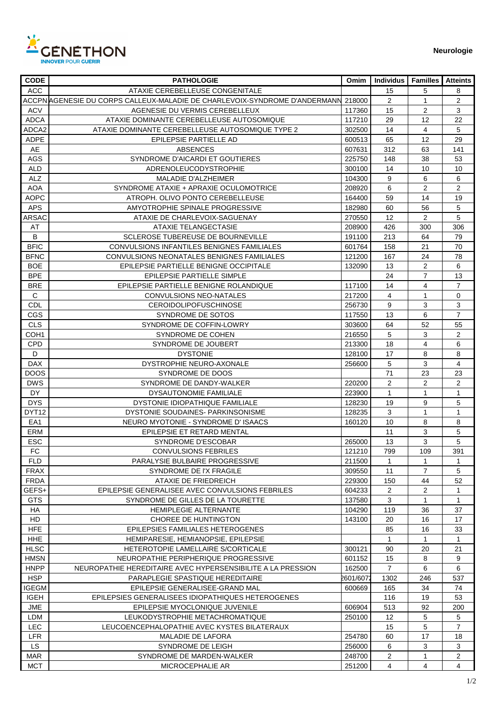

| <b>CODE</b>               | <b>PATHOLOGIE</b>                                                                 | Omim      | <b>Individus</b>  | <b>Familles</b>         | <b>Atteints</b> |
|---------------------------|-----------------------------------------------------------------------------------|-----------|-------------------|-------------------------|-----------------|
| ACC                       | ATAXIE CEREBELLEUSE CONGENITALE                                                   |           | 15                | 5                       | 8               |
|                           | ACCPN AGENESIE DU CORPS CALLEUX-MALADIE DE CHARLEVOIX-SYNDROME D'ANDERMANN 218000 |           | $\overline{2}$    | 1                       | $\overline{2}$  |
| <b>ACV</b>                | AGENESIE DU VERMIS CEREBELLEUX                                                    | 117360    | 15                | 2                       | 3               |
| ADCA                      | ATAXIE DOMINANTE CEREBELLEUSE AUTOSOMIQUE                                         | 117210    | 29                | 12                      | 22              |
| ADCA2                     | ATAXIE DOMINANTE CEREBELLEUSE AUTOSOMIQUE TYPE 2                                  | 302500    | 14                | 4                       | 5               |
| <b>ADPE</b>               | EPILEPSIE PARTIELLE AD                                                            | 600513    | 65                | 12                      | 29              |
| AE                        | <b>ABSENCES</b>                                                                   | 607631    | 312               | 63                      | 141             |
| AGS                       | SYNDROME D'AICARDI ET GOUTIERES                                                   | 225750    | 148               | 38                      | 53              |
| <b>ALD</b>                | ADRENOLEUCODYSTROPHIE                                                             | 300100    | 14                | 10                      | 10              |
| <b>ALZ</b>                | <b>MALADIE D'ALZHEIMER</b>                                                        | 104300    | 9                 | 6                       | 6               |
| <b>AOA</b>                | SYNDROME ATAXIE + APRAXIE OCULOMOTRICE                                            | 208920    | 6                 | 2                       | $\overline{c}$  |
|                           | ATROPH. OLIVO PONTO CEREBELLEUSE                                                  |           | 59                | 14                      | 19              |
| <b>AOPC</b><br><b>APS</b> | AMYOTROPHIE SPINALE PROGRESSIVE                                                   | 164400    | 60                | 56                      | 5               |
|                           |                                                                                   | 182980    |                   |                         | 5               |
| <b>ARSAC</b>              | ATAXIE DE CHARLEVOIX-SAGUENAY                                                     | 270550    | 12                | $\overline{2}$          |                 |
| AT                        | <b>ATAXIE TELANGECTASIE</b>                                                       | 208900    | 426               | 300                     | 306             |
| B                         | SCLEROSE TUBEREUSE DE BOURNEVILLE                                                 | 191100    | 213               | 64                      | 79              |
| <b>BFIC</b>               | CONVULSIONS INFANTILES BENIGNES FAMILIALES                                        | 601764    | 158               | 21                      | 70              |
| <b>BFNC</b>               | CONVULSIONS NEONATALES BENIGNES FAMILIALES                                        | 121200    | 167               | 24                      | 78              |
| BOE                       | EPILEPSIE PARTIELLE BENIGNE OCCIPITALE                                            | 132090    | 13                | $\overline{c}$          | 6               |
| <b>BPE</b>                | EPILEPSIE PARTIELLE SIMPLE                                                        |           | 24                | $\overline{7}$          | 13              |
| <b>BRE</b>                | EPILEPSIE PARTIELLE BENIGNE ROLANDIQUE                                            | 117100    | 14                | 4                       | $\overline{7}$  |
| $\mathsf{C}$              | CONVULSIONS NEO-NATALES                                                           | 217200    | $\overline{4}$    | 1                       | 0               |
| <b>CDL</b>                | <b>CEROIDOLIPOFUSCHINOSE</b>                                                      | 256730    | 9                 | 3                       | 3               |
| CGS                       | SYNDROME DE SOTOS                                                                 | 117550    | 13                | 6                       | $\overline{7}$  |
| <b>CLS</b>                | SYNDROME DE COFFIN-LOWRY                                                          | 303600    | 64                | 52                      | 55              |
| COH <sub>1</sub>          | SYNDROME DE COHEN                                                                 | 216550    | 5                 | 3                       | 2               |
| <b>CPD</b>                | SYNDROME DE JOUBERT                                                               | 213300    | 18                | $\overline{\mathbf{4}}$ | 6               |
| D                         | <b>DYSTONIE</b>                                                                   | 128100    | 17                | 8                       | 8               |
| <b>DAX</b>                | DYSTROPHIE NEURO-AXONALE                                                          | 256600    | 5                 | 3                       | $\overline{4}$  |
| <b>DOOS</b>               | SYNDROME DE DOOS                                                                  |           | 71                | 23                      | 23              |
| <b>DWS</b>                | SYNDROME DE DANDY-WALKER                                                          | 220200    | 2                 | $\overline{c}$          | $\overline{c}$  |
| DY.                       | DYSAUTONOMIE FAMILIALE                                                            | 223900    | $\mathbf{1}$      | $\mathbf{1}$            | $\mathbf{1}$    |
| <b>DYS</b>                | DYSTONIE IDIOPATHIQUE FAMILIALE                                                   | 128230    | 19                | 9                       | 5               |
| DYT <sub>12</sub>         | DYSTONIE SOUDAINES- PARKINSONISME                                                 | 128235    | 3                 | 1                       | $\mathbf{1}$    |
| EA1                       | NEURO MYOTONIE - SYNDROME D'ISAACS                                                | 160120    | 10                | 8                       | 8               |
| ERM                       | EPILEPSIE ET RETARD MENTAL                                                        |           | 11                | 3                       | 5               |
| ESC                       | SYNDROME D'ESCOBAR                                                                | 265000    | 13                | 3                       | 5               |
| ${\sf FC}$                | <b>CONVULSIONS FEBRILES</b>                                                       | 121210    | 799               | 109                     | 391             |
| FLD.                      | PARALYSIE BULBAIRE PROGRESSIVE                                                    | 211500    | 1                 | 1                       | 1               |
| <b>FRAX</b>               | SYNDROME DE I'X FRAGILE                                                           | 309550    | 11                | $\overline{7}$          | 5               |
| <b>FRDA</b>               | ATAXIE DE FRIEDREICH                                                              | 229300    | 150               | 44                      | 52              |
| GEFS+                     | EPILEPSIE GENERALISEE AVEC CONVULSIONS FEBRILES                                   | 604233    | $\overline{2}$    | $\overline{2}$          | $\mathbf{1}$    |
| GTS.                      | SYNDROME DE GILLES DE LA TOURETTE                                                 | 137580    | 3                 | $\mathbf{1}$            | $\mathbf{1}$    |
| HA.                       | <b>HEMIPLEGIE ALTERNANTE</b>                                                      | 104290    | 119               | 36                      | 37              |
| HD.                       | CHOREE DE HUNTINGTON                                                              | 143100    | 20                | 16                      | 17              |
| <b>HFE</b>                | EPILEPSIES FAMILIALES HETEROGENES                                                 |           | 85                | 16                      | 33              |
| <b>HHE</b>                | HEMIPARESIE, HEMIANOPSIE, EPILEPSIE                                               |           | $\mathbf{1}$      | 1                       | $\mathbf{1}$    |
| <b>HLSC</b>               | HETEROTOPIE LAMELLAIRE S/CORTICALE                                                | 300121    | 90                | 20                      | 21              |
| <b>HMSN</b>               | NEUROPATHIE PERIPHERIQUE PROGRESSIVE                                              | 601152    | 15                | 8                       | 9               |
| <b>HNPP</b>               | NEUROPATHIE HEREDITAIRE AVEC HYPERSENSIBILITE A LA PRESSION                       | 162500    | $\overline{7}$    | 6                       | 6               |
| <b>HSP</b>                | PARAPLEGIE SPASTIQUE HEREDITAIRE                                                  | 2601/6072 | 1302              | 246                     | 537             |
| <b>IGEGM</b>              | EPILEPSIE GENERALISEE-GRAND MAL                                                   | 600669    | 165               | 34                      | 74              |
|                           |                                                                                   |           |                   |                         |                 |
| IGEH                      | EPILEPSIES GENERALISEES IDIOPATHIQUES HETEROGENES                                 |           | 116               | 19                      | 53              |
| JME                       | EPILEPSIE MYOCLONIQUE JUVENILE                                                    | 606904    | 513               | 92                      | 200             |
| LDM                       | LEUKODYSTROPHIE METACHROMATIQUE                                                   | 250100    | $12 \overline{ }$ | 5                       | 5               |
| <b>LEC</b>                | LEUCOENCEPHALOPATHIE AVEC KYSTES BILATERAUX                                       |           | 15                | 5                       | $\overline{7}$  |
| <b>LFR</b>                | MALADIE DE LAFORA                                                                 | 254780    | 60                | 17                      | 18              |
| <b>LS</b>                 | SYNDROME DE LEIGH                                                                 | 256000    | 6                 | 3                       | 3               |
| MAR                       | SYNDROME DE MARDEN-WALKER                                                         | 248700    | $\overline{2}$    | $\mathbf{1}$            | $\overline{2}$  |
| MCT                       | MICROCEPHALIE AR                                                                  | 251200    | $\overline{4}$    | 4                       | 4               |